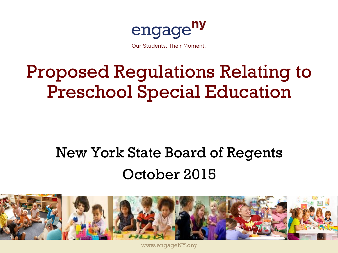

Our Students, Their Moment.

### Proposed Regulations Relating to Preschool Special Education

#### New York State Board of Regents October 2015



www.engageNY.org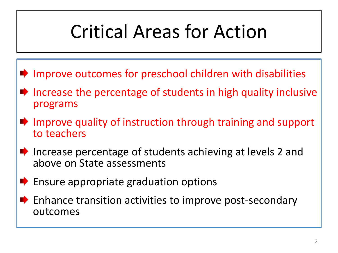# Critical Areas for Action

- Improve outcomes for preschool children with disabilities
- $\blacktriangleright$  Increase the percentage of students in high quality inclusive programs
- $\blacksquare$  Improve quality of instruction through training and support to teachers
- $\blacktriangleright$  Increase percentage of students achieving at levels 2 and above on State assessments
- $\blacktriangleright$  Ensure appropriate graduation options
- $\blacktriangleright$  Enhance transition activities to improve post-secondary outcomes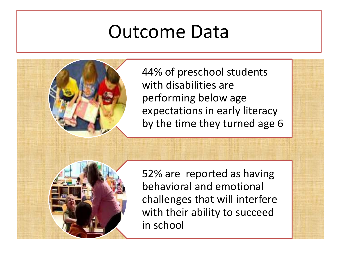#### Outcome Data

44% of preschool students with disabilities are performing below age expectations in early literacy by the time they turned age 6



52% are reported as having behavioral and emotional challenges that will interfere with their ability to succeed in school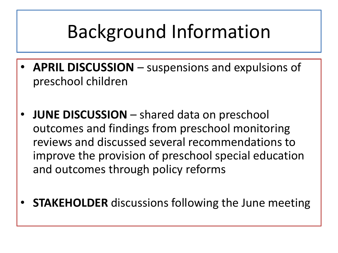## Background Information

- **APRIL DISCUSSION**  suspensions and expulsions of preschool children
- **JUNE DISCUSSION**  shared data on preschool outcomes and findings from preschool monitoring reviews and discussed several recommendations to improve the provision of preschool special education and outcomes through policy reforms
- **STAKEHOLDER** discussions following the June meeting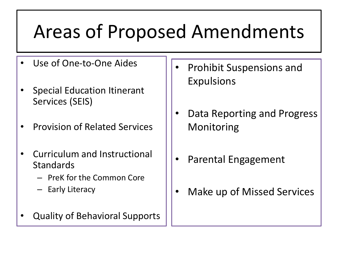## Areas of Proposed Amendments

- Use of One-to-One Aides
- Special Education Itinerant Services (SEIS)
- Provision of Related Services
- Curriculum and Instructional **Standards** 
	- PreK for the Common Core
	- Early Literacy
- Quality of Behavioral Supports
- Prohibit Suspensions and Expulsions
- Data Reporting and Progress Monitoring
- Parental Engagement
- Make up of Missed Services